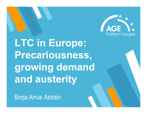

**LTC in Europe: Precariousness, growing demand and austerity**

Borja Arrue Astrain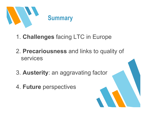

- 1. **Challenges** facing LTC in Europe
- 2. **Precariousness** and links to quality of services
- 3. **Austerity**: an aggravating factor
- 4. **Future** perspectives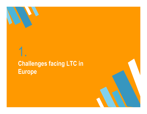1.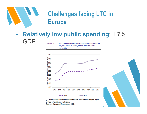

#### $\bullet$  **Relatively low public spending**: 1.7% GDP

Graph  $\Pi$ .3.2: Total (public) expenditure on long-term care in the EU, as a share of total (public) current health expenditure



(1) Expenditure based only on the medical care component (HC.3) of system of health accounts data. Source: European Commission, EPC.

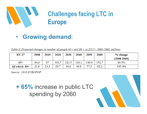

#### •**Growing demand**:

| Table 8. Projected changes in number of people $63+$ and $80+$ in $E\frac{U}{Z}$ , 2008-2000, millions |      |      |       |       |       |       |       |                 |
|--------------------------------------------------------------------------------------------------------|------|------|-------|-------|-------|-------|-------|-----------------|
| $EU-27$                                                                                                | 2008 | 2010 | 2020  | 2030  | 2040  | 2050  | 2060  | % change        |
|                                                                                                        |      |      |       |       |       |       |       | $(2008 - 2060)$ |
| $65+$                                                                                                  | 84.6 | 87   | 103.7 | 123.5 | 143.1 | 149.9 | 152.7 | 80.5%           |
| Of which: $80+$                                                                                        | 21,8 | 23,3 | 29.7  | 36,6  | 48.8  | 57,5  | 62,2  | 185,4%          |

Source: 2010 EUROPOP

**+ 65%** increase in public LTC spending by <sup>2060</sup>

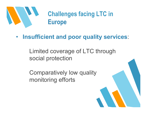

#### •**Insufficient and poor quality services**:

Limited coverage of LTC through social protection

Comparatively low quality monitoring efforts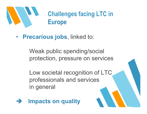

• **Precarious jobs**, linked to:

Weak public spending/social protection, pressure on services

Low societal recognition of LTC professionals and services in general

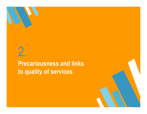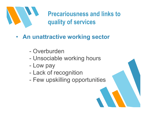

- **An unattractive working sector**
	- $\mathcal{L}_{\mathcal{A}}$ Overburden
	- $\mathcal{L}_{\mathcal{A}}$ Unsociable working hours
	- -Low pay
	- $\mathcal{L}_{\mathcal{A}}$ Lack of recognition
	- $\mathcal{L}_{\mathcal{A}}$ Few upskilling opportunities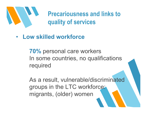

• **Low skilled workforce**

**70%** personal care workers In some countries, no qualifications required

As a result, vulnerable/discriminatedgroups in the LTC workforce: migrants, (older) women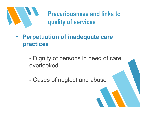

• **Perpetuation of inadequate care practices**

> $\mathcal{L}_{\mathcal{A}}$ Dignity of persons in need of care overlooked

 $\mathcal{L}_{\mathcal{A}}$ Cases of neglect and abuse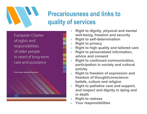

European Charter of rights and responsibilities of older people in need of long-term care and assistance

EUSTaCEA project, under Daphne III programme

- » **Right to dignity, physical and mental well-being, freedom and security**
- »**Right to self-determination**
- »**Right to privacy**
- »**Right to high quality and tailored care**
- » **Right to personalized information, advice and consent**
- » **Right to continued communication, participation in society and cultural activity**
- **Right to freedom of expression and**  »**freedom of thought/conscience: beliefs, culture and religion**
- **Right to palliative care and support,**  »**and respect and dignity in dying and in death**
- **Right to redress** »
- »**Your responsibilities**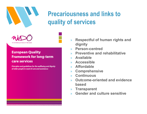



#### **European Quality Framework for long-term** care services

Principles and guidelines for the wellbeing and dignity of older people in need of care and assistance

- » **Respectful of human rights and dignity**
- **Person-centred**»
- **Preventive and rehabilitative** »
- »**Available**
- **Accessible**»
- **Affordable**»
- **Comprehensive**»
- »**Continuous**
- **Outcome-oriented and evidence** »**based**
- **Transparent** »
- »**Gender and culture sensitive**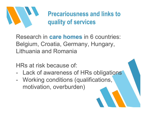

Research in **care homes** in 6 countries: Belgium, Croatia, Germany, Hungary, Lithuania and Romania

HRs at risk because of:

- $\mathcal{L}_{\mathcal{A}}$ Lack of awareness of HRs obligations
- $\mathcal{L}_{\mathcal{A}}$ Working conditions (qualifications, motivation, overburden)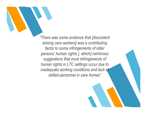*"There was some evidence that [discontent among care workers] was a contributing factor to some infringements of older persons' human rights [, which] reinforces suggestions that most infringements of human rights in LTC settings occur due to inadequate working conditions and lack of skilled personnel in care homes"*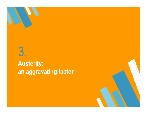

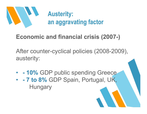

# **Economic and financial crisis (2007-)**

After counter-cyclical policies (2008-2009), austerity:

• **- 10%** GDP public spending Greece • **- 7 to 8%** GDP Spain, Portugal, UK, **Hungary**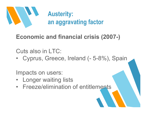

# **Economic and financial crisis (2007-)**

Cuts also in LTC:

 $\bullet$ Cyprus, Greece, Ireland (- 5-8%), Spain

Impacts on users:

- Longer waiting lists
- •Freeze/elimination of entitlements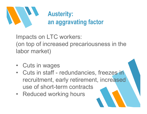

Impacts on LTC workers: (on top of increased precariousness in the<br>labor read(a<sup>1)</sup> labor market)

- •Cuts in wages
- $\bullet$ Cuts in staff - redundancies, freezes in recruitment, early retirement, increased use of short-term contracts<br>Peduced werking hours
- Reduced working hours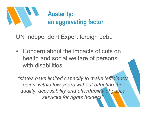

UN Independent Expert foreign debt:

•Concern about the impacts of cuts on health and social welfare of persons with disabilities

*"states have limited capacity to make 'efficiency gains' within few years without affecting the quality, accessibility and affordability of public services for rights holders"*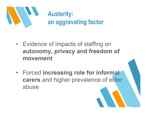

- $\bullet$ Evidence of impacts of staffing on **autonomy, privacy and freedom of movement**
- $\bullet$  Forced **increasing role for informal carers** and higher prevalence of elder abuse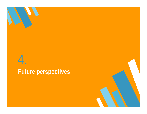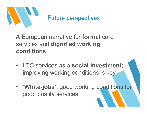

A European narrative for **formal** care services and **dignified working conditions**:

- $\bullet$  LTC services as a **social investment**; improving working conditions is key
- **'White-jobs'**: good working conditions for good quality services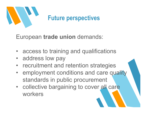

European **trade union** demands:

- •access to training and qualifications
- address low pay
- recruitment and retention strategies
- employment conditions and care quality standards in public procurement
- collective bargaining to cover all care workers